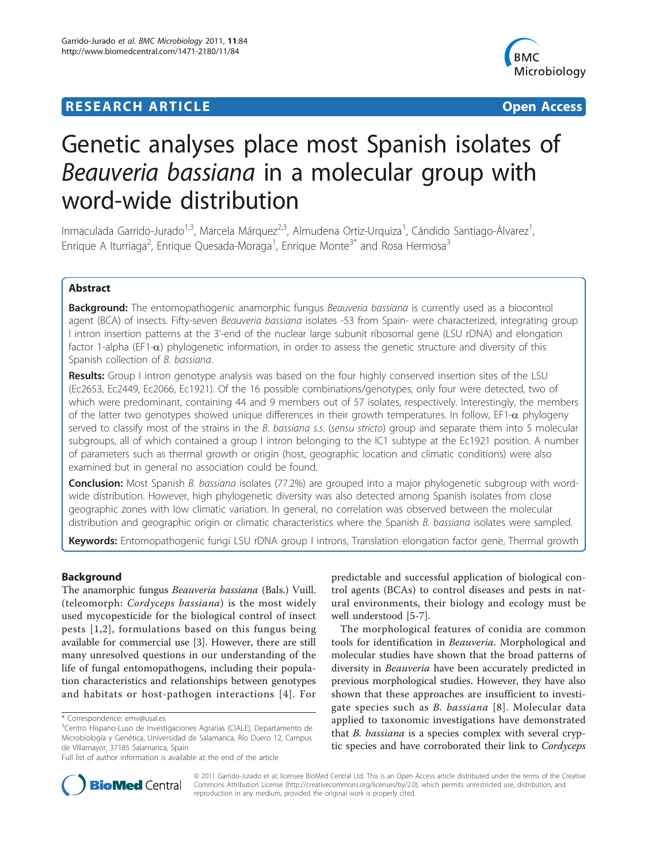# **RESEARCH ARTICLE External Structure Control Control Control Control Control Control Control Control Control Control Control Control Control Control Control Control Control Control Control Control Control Control Control**



# Genetic analyses place most Spanish isolates of Beauveria bassiana in a molecular group with word-wide distribution

Inmaculada Garrido-Jurado<sup>1,3</sup>, Marcela Márquez<sup>2,3</sup>, Almudena Ortiz-Urquiza<sup>1</sup>, Cándido Santiago-Álvarez<sup>1</sup> , Enrique A Iturriaga<sup>2</sup>, Enrique Quesada-Moraga<sup>1</sup>, Enrique Monte<sup>3\*</sup> and Rosa Hermosa<sup>3</sup>

# Abstract

**Background:** The entomopathogenic anamorphic fungus Beauveria bassiana is currently used as a biocontrol agent (BCA) of insects. Fifty-seven Beauveria bassiana isolates -53 from Spain- were characterized, integrating group I intron insertion patterns at the 3'-end of the nuclear large subunit ribosomal gene (LSU rDNA) and elongation factor 1-alpha (EF1- $\alpha$ ) phylogenetic information, in order to assess the genetic structure and diversity of this Spanish collection of B. bassiana.

Results: Group I intron genotype analysis was based on the four highly conserved insertion sites of the LSU (Ec2653, Ec2449, Ec2066, Ec1921). Of the 16 possible combinations/genotypes, only four were detected, two of which were predominant, containing 44 and 9 members out of 57 isolates, respectively. Interestingly, the members of the latter two genotypes showed unique differences in their growth temperatures. In follow, EF1- $\alpha$  phylogeny served to classify most of the strains in the B. bassiana s.s. (sensu stricto) group and separate them into 5 molecular subgroups, all of which contained a group I intron belonging to the IC1 subtype at the Ec1921 position. A number of parameters such as thermal growth or origin (host, geographic location and climatic conditions) were also examined but in general no association could be found.

Conclusion: Most Spanish B. bassiana isolates (77.2%) are grouped into a major phylogenetic subgroup with wordwide distribution. However, high phylogenetic diversity was also detected among Spanish isolates from close geographic zones with low climatic variation. In general, no correlation was observed between the molecular distribution and geographic origin or climatic characteristics where the Spanish B. bassiana isolates were sampled.

Keywords: Entomopathogenic fungi LSU rDNA group I introns, Translation elongation factor gene, Thermal growth

# Background

The anamorphic fungus Beauveria bassiana (Bals.) Vuill. (teleomorph: Cordyceps bassiana) is the most widely used mycopesticide for the biological control of insect pests [[1,2](#page-9-0)], formulations based on this fungus being available for commercial use [[3\]](#page-9-0). However, there are still many unresolved questions in our understanding of the life of fungal entomopathogens, including their population characteristics and relationships between genotypes and habitats or host-pathogen interactions [[4\]](#page-9-0). For

predictable and successful application of biological control agents (BCAs) to control diseases and pests in natural environments, their biology and ecology must be well understood [[5-7](#page-9-0)].

The morphological features of conidia are common tools for identification in Beauveria. Morphological and molecular studies have shown that the broad patterns of diversity in Beauveria have been accurately predicted in previous morphological studies. However, they have also shown that these approaches are insufficient to investigate species such as B. bassiana [[8\]](#page-9-0). Molecular data applied to taxonomic investigations have demonstrated that B. bassiana is a species complex with several cryptic species and have corroborated their link to Cordyceps



© 2011 Garrido-Jurado et al; licensee BioMed Central Ltd. This is an Open Access article distributed under the terms of the Creative Commons Attribution License [\(http://creativecommons.org/licenses/by/2.0](http://creativecommons.org/licenses/by/2.0)), which permits unrestricted use, distribution, and reproduction in any medium, provided the original work is properly cited.

<sup>\*</sup> Correspondence: [emv@usal.es](mailto:emv@usal.es)

<sup>&</sup>lt;sup>3</sup>Centro Hispano-Luso de Investigaciones Agrarias (CIALE), Departamento de Microbiología y Genética, Universidad de Salamanca, Río Duero 12, Campus de Villamayor, 37185 Salamanca, Spain

Full list of author information is available at the end of the article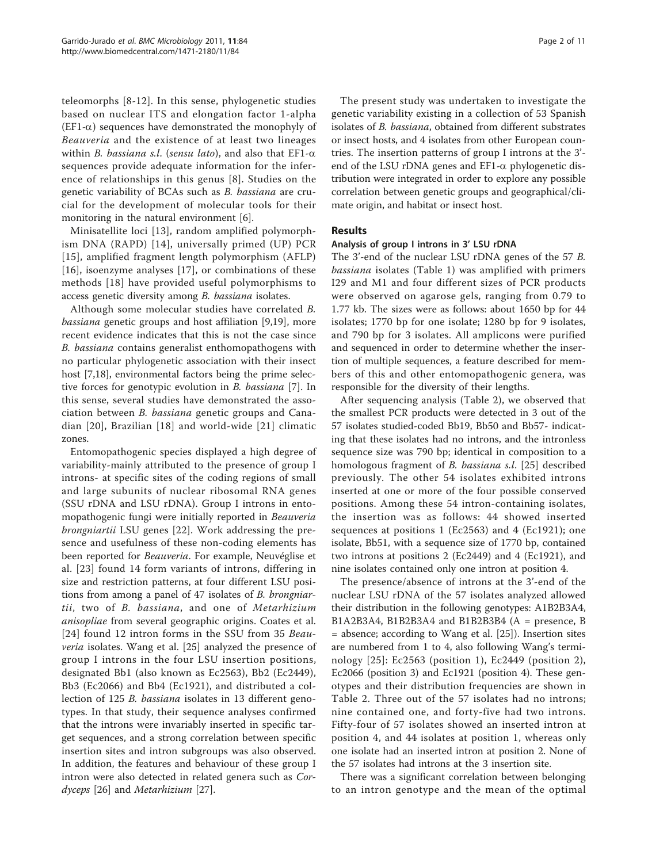teleomorphs [\[8](#page-9-0)-[12](#page-10-0)]. In this sense, phylogenetic studies based on nuclear ITS and elongation factor 1-alpha  $(EF1-\alpha)$  sequences have demonstrated the monophyly of Beauveria and the existence of at least two lineages within B. bassiana s.l. (sensu lato), and also that  $EFI-\alpha$ sequences provide adequate information for the inference of relationships in this genus [[8\]](#page-9-0). Studies on the genetic variability of BCAs such as B. bassiana are crucial for the development of molecular tools for their monitoring in the natural environment [\[6](#page-9-0)].

Minisatellite loci [[13\]](#page-10-0), random amplified polymorphism DNA (RAPD) [[14](#page-10-0)], universally primed (UP) PCR [[15](#page-10-0)], amplified fragment length polymorphism (AFLP) [[16\]](#page-10-0), isoenzyme analyses [\[17](#page-10-0)], or combinations of these methods [[18\]](#page-10-0) have provided useful polymorphisms to access genetic diversity among B. bassiana isolates.

Although some molecular studies have correlated B. bassiana genetic groups and host affiliation [[9,](#page-9-0)[19\]](#page-10-0), more recent evidence indicates that this is not the case since B. bassiana contains generalist enthomopathogens with no particular phylogenetic association with their insect host [\[7](#page-9-0)[,18](#page-10-0)], environmental factors being the prime selective forces for genotypic evolution in B. bassiana [\[7](#page-9-0)]. In this sense, several studies have demonstrated the association between B. bassiana genetic groups and Canadian [[20\]](#page-10-0), Brazilian [[18](#page-10-0)] and world-wide [[21\]](#page-10-0) climatic zones.

Entomopathogenic species displayed a high degree of variability-mainly attributed to the presence of group I introns- at specific sites of the coding regions of small and large subunits of nuclear ribosomal RNA genes (SSU rDNA and LSU rDNA). Group I introns in entomopathogenic fungi were initially reported in Beauveria brongniartii LSU genes [[22\]](#page-10-0). Work addressing the presence and usefulness of these non-coding elements has been reported for Beauveria. For example, Neuvéglise et al. [\[23\]](#page-10-0) found 14 form variants of introns, differing in size and restriction patterns, at four different LSU positions from among a panel of 47 isolates of B. brongniartii, two of B. bassiana, and one of Metarhizium anisopliae from several geographic origins. Coates et al. [[24](#page-10-0)] found 12 intron forms in the SSU from 35 Beauveria isolates. Wang et al. [\[25](#page-10-0)] analyzed the presence of group I introns in the four LSU insertion positions, designated Bb1 (also known as Ec2563), Bb2 (Ec2449), Bb3 (Ec2066) and Bb4 (Ec1921), and distributed a collection of 125 B. bassiana isolates in 13 different genotypes. In that study, their sequence analyses confirmed that the introns were invariably inserted in specific target sequences, and a strong correlation between specific insertion sites and intron subgroups was also observed. In addition, the features and behaviour of these group I intron were also detected in related genera such as Cordyceps [\[26\]](#page-10-0) and Metarhizium [\[27\]](#page-10-0).

The present study was undertaken to investigate the genetic variability existing in a collection of 53 Spanish isolates of B. bassiana, obtained from different substrates or insect hosts, and 4 isolates from other European countries. The insertion patterns of group I introns at the 3' end of the LSU rDNA genes and  $EF1-\alpha$  phylogenetic distribution were integrated in order to explore any possible correlation between genetic groups and geographical/climate origin, and habitat or insect host.

## Results

#### Analysis of group I introns in 3' LSU rDNA

The 3'-end of the nuclear LSU rDNA genes of the 57 B. bassiana isolates (Table [1](#page-2-0)) was amplified with primers I29 and M1 and four different sizes of PCR products were observed on agarose gels, ranging from 0.79 to 1.77 kb. The sizes were as follows: about 1650 bp for 44 isolates; 1770 bp for one isolate; 1280 bp for 9 isolates, and 790 bp for 3 isolates. All amplicons were purified and sequenced in order to determine whether the insertion of multiple sequences, a feature described for members of this and other entomopathogenic genera, was responsible for the diversity of their lengths.

After sequencing analysis (Table [2](#page-3-0)), we observed that the smallest PCR products were detected in 3 out of the 57 isolates studied-coded Bb19, Bb50 and Bb57- indicating that these isolates had no introns, and the intronless sequence size was 790 bp; identical in composition to a homologous fragment of B. bassiana s.l. [[25](#page-10-0)] described previously. The other 54 isolates exhibited introns inserted at one or more of the four possible conserved positions. Among these 54 intron-containing isolates, the insertion was as follows: 44 showed inserted sequences at positions 1 (Ec2563) and 4 (Ec1921); one isolate, Bb51, with a sequence size of 1770 bp, contained two introns at positions 2 (Ec2449) and 4 (Ec1921), and nine isolates contained only one intron at position 4.

The presence/absence of introns at the 3'-end of the nuclear LSU rDNA of the 57 isolates analyzed allowed their distribution in the following genotypes: A1B2B3A4, B1A2B3A4, B1B2B3A4 and B1B2B3B4 (A = presence, B = absence; according to Wang et al. [\[25](#page-10-0)]). Insertion sites are numbered from 1 to 4, also following Wang's terminology [\[25\]](#page-10-0): Ec2563 (position 1), Ec2449 (position 2), Ec2066 (position 3) and Ec1921 (position 4). These genotypes and their distribution frequencies are shown in Table [2](#page-3-0). Three out of the 57 isolates had no introns; nine contained one, and forty-five had two introns. Fifty-four of 57 isolates showed an inserted intron at position 4, and 44 isolates at position 1, whereas only one isolate had an inserted intron at position 2. None of the 57 isolates had introns at the 3 insertion site.

There was a significant correlation between belonging to an intron genotype and the mean of the optimal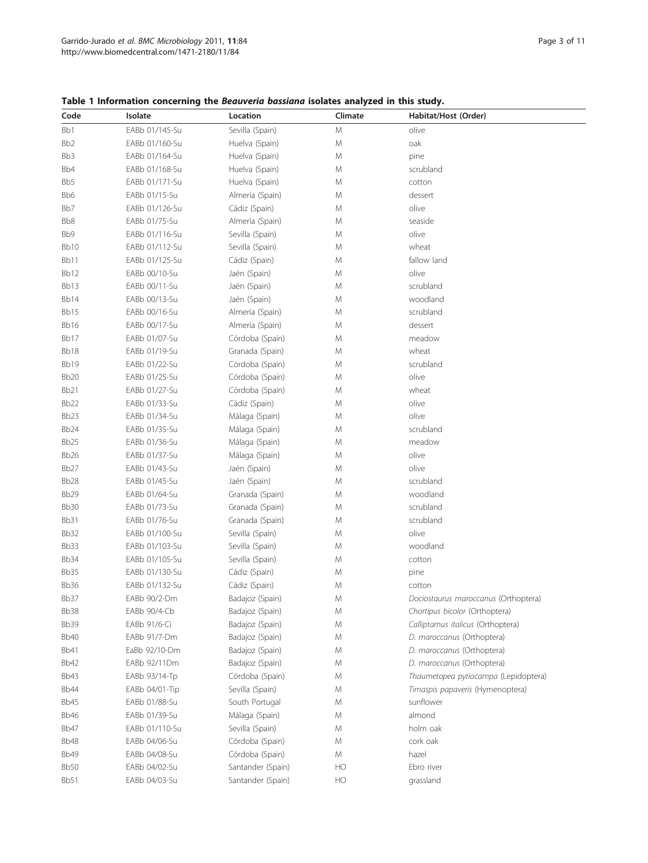| Code             | Isolate        | Location          | Climate   | Habitat/Host (Order)                 |  |
|------------------|----------------|-------------------|-----------|--------------------------------------|--|
| Bb1              | EABb 01/145-Su | Sevilla (Spain)   | ${\sf M}$ | olive                                |  |
| Bb <sub>2</sub>  | EABb 01/160-Su | Huelva (Spain)    | M         | oak                                  |  |
| Bb3              | EABb 01/164-Su | Huelva (Spain)    | M         | pine                                 |  |
| Bb4              | EABb 01/168-Su | Huelva (Spain)    | М         | scrubland                            |  |
| Bb5              | EABb 01/171-Su | Huelva (Spain)    | М         | cotton                               |  |
| Bb6              | EABb 01/15-Su  | Almería (Spain)   | М         | dessert                              |  |
| Bb7              | EABb 01/126-Su | Cádiz (Spain)     | M         | olive                                |  |
| Bb8              | EABb 01/75-Su  | Almería (Spain)   | M         | seaside                              |  |
| Bb9              | EABb 01/116-Su | Sevilla (Spain)   | M         | olive                                |  |
| Bb <sub>10</sub> | EABb 01/112-Su | Sevilla (Spain)   | M         | wheat                                |  |
| Bb11             | EABb 01/125-Su | Cádiz (Spain)     | M         | fallow land                          |  |
| Bb12             | EABb 00/10-Su  | Jaén (Spain)      | M         | olive                                |  |
| Bb13             | EABb 00/11-Su  | Jaén (Spain)      | M         | scrubland                            |  |
| Bb14             | EABb 00/13-Su  | Jaén (Spain)      | M         | woodland                             |  |
| Bb15             | EABb 00/16-Su  | Almería (Spain)   | M         | scrubland                            |  |
| Bb16             | EABb 00/17-Su  | Almería (Spain)   | M         | dessert                              |  |
| Bb17             | EABb 01/07-Su  | Córdoba (Spain)   | M         | meadow                               |  |
| Bb18             | EABb 01/19-Su  | Granada (Spain)   | M         | wheat                                |  |
| Bb19             | EABb 01/22-Su  | Córdoba (Spain)   | M         | scrubland                            |  |
| Bb <sub>20</sub> | EABb 01/25-Su  | Córdoba (Spain)   | M         | olive                                |  |
| Bb <sub>21</sub> | EABb 01/27-Su  | Córdoba (Spain)   | M         | wheat                                |  |
| Bb <sub>22</sub> | EABb 01/33-Su  | Cádiz (Spain)     | M         | olive                                |  |
| Bb <sub>23</sub> | EABb 01/34-Su  | Málaga (Spain)    | M         | olive                                |  |
| Bb <sub>24</sub> | EABb 01/35-Su  | Málaga (Spain)    | M         | scrubland                            |  |
| Bb <sub>25</sub> | EABb 01/36-Su  | Málaga (Spain)    | M         | meadow                               |  |
| Bb <sub>26</sub> | EABb 01/37-Su  | Málaga (Spain)    | M         | olive                                |  |
| Bb <sub>27</sub> | EABb 01/43-Su  | Jaén (Spain)      | M         | olive                                |  |
| Bb <sub>28</sub> | EABb 01/45-Su  | Jaén (Spain)      | M         | scrubland                            |  |
| Bb29             | EABb 01/64-Su  | Granada (Spain)   | M         | woodland                             |  |
| Bb <sub>30</sub> | EABb 01/73-Su  | Granada (Spain)   | M         | scrubland                            |  |
| Bb31             | EABb 01/76-Su  | Granada (Spain)   | M         | scrubland                            |  |
| Bb32             | EABb 01/100-Su | Sevilla (Spain)   | M         | olive                                |  |
| Bb33             | EABb 01/103-Su | Sevilla (Spain)   | M         | woodland                             |  |
| Bb34             | EABb 01/105-Su | Sevilla (Spain)   | M         | cotton                               |  |
| <b>Bb35</b>      | EABb 01/130-Su | Cádiz (Spain)     | M         | pine                                 |  |
| Bb36             | EABb 01/132-Su | Cádiz (Spain)     | M         | cotton                               |  |
| Bb37             | EABb 90/2-Dm   | Badajoz (Spain)   | M         | Dociostaurus maroccanus (Orthoptera) |  |
| Bb38             | EABb 90/4-Cb   | Badajoz (Spain)   | M         | Chortipus bicolor (Orthoptera)       |  |
| Bb39             | EABb 91/6-Ci   | Badajoz (Spain)   | M         | Calliptamus italicus (Orthoptera)    |  |
| <b>Bb40</b>      | EABb 91/7-Dm   | Badajoz (Spain)   | M         | D. maroccanus (Orthoptera)           |  |
| <b>Bb41</b>      | EaBb 92/10-Dm  | Badajoz (Spain)   | M         | D. maroccanus (Orthoptera)           |  |
| Bb42             | EABb 92/11Dm   | Badajoz (Spain)   | M         | D. maroccanus (Orthoptera)           |  |
| Bb43             | EABb 93/14-Tp  | Córdoba (Spain)   | M         | Thaumetopea pytiocampa (Lepidoptera) |  |
| Bb44             | EABb 04/01-Tip | Sevilla (Spain)   | M         | Timaspis papaveris (Hymenoptera)     |  |
| Bb45             | EABb 01/88-Su  | South Portugal    | M         | sunflower                            |  |
| Bb46             | EABb 01/39-Su  | Málaga (Spain)    | M         | almond                               |  |
| Bb47             | EABb 01/110-Su | Sevilla (Spain)   | M         | holm oak                             |  |
| Bb48             | EABb 04/06-Su  | Córdoba (Spain)   | M         | cork oak                             |  |
| Bb49             | EABb 04/08-Su  | Córdoba (Spain)   | М         | hazel                                |  |
| Bb50             | EABb 04/02-Su  | Santander (Spain) | HO        | Ebro river                           |  |
| <b>Bb51</b>      | EABb 04/03-Su  | Santander (Spain) | HO        | grassland                            |  |

<span id="page-2-0"></span>Table 1 Information concerning the Beauveria bassiana isolates analyzed in this study.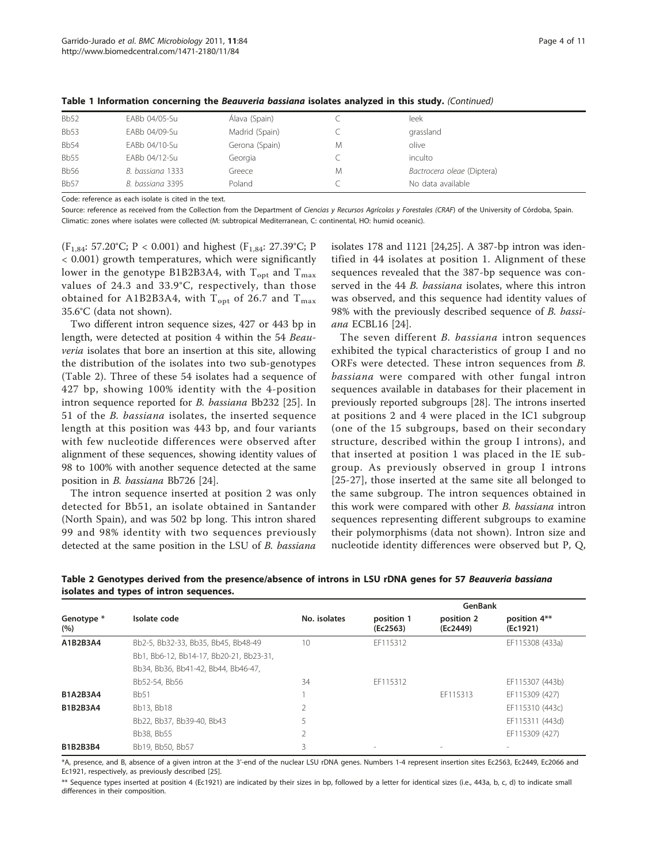| <b>Bb52</b> | EABb 04/05-Su    | Álava (Spain)  |   | leek                       |
|-------------|------------------|----------------|---|----------------------------|
| <b>Bb53</b> | EABb 04/09-Su    | Madrid (Spain) |   | grassland                  |
| <b>Bb54</b> | EABb 04/10-Su    | Gerona (Spain) | М | olive                      |
| <b>Bb55</b> | EABb 04/12-Su    | Georgia        |   | inculto                    |
| <b>Bb56</b> | B. bassiana 1333 | Greece         | M | Bactrocera oleae (Diptera) |
| <b>Bb57</b> | B. bassiana 3395 | Poland         |   | No data available          |

<span id="page-3-0"></span>Table 1 Information concerning the Beauveria bassiana isolates analyzed in this study. (Continued)

Code: reference as each isolate is cited in the text.

Source: reference as received from the Collection from the Department of Ciencias y Recursos Agrícolas y Forestales (CRAF) of the University of Córdoba, Spain. Climatic: zones where isolates were collected (M: subtropical Mediterranean, C: continental, HO: humid oceanic).

 $(F_{1,84}: 57.20^{\circ}C; P < 0.001)$  and highest  $(F_{1,84}: 27.39^{\circ}C; P$ < 0.001) growth temperatures, which were significantly lower in the genotype B1B2B3A4, with  $T_{opt}$  and  $T_{max}$ values of 24.3 and 33.9°C, respectively, than those obtained for A1B2B3A4, with  $T_{opt}$  of 26.7 and  $T_{max}$ 35.6°C (data not shown).

Two different intron sequence sizes, 427 or 443 bp in length, were detected at position 4 within the 54 Beauveria isolates that bore an insertion at this site, allowing the distribution of the isolates into two sub-genotypes (Table 2). Three of these 54 isolates had a sequence of 427 bp, showing 100% identity with the 4-position intron sequence reported for B. bassiana Bb232 [\[25](#page-10-0)]. In 51 of the B. bassiana isolates, the inserted sequence length at this position was 443 bp, and four variants with few nucleotide differences were observed after alignment of these sequences, showing identity values of 98 to 100% with another sequence detected at the same position in B. bassiana Bb726 [[24\]](#page-10-0).

The intron sequence inserted at position 2 was only detected for Bb51, an isolate obtained in Santander (North Spain), and was 502 bp long. This intron shared 99 and 98% identity with two sequences previously detected at the same position in the LSU of B. bassiana

isolates 178 and 1121 [\[24,25\]](#page-10-0). A 387-bp intron was identified in 44 isolates at position 1. Alignment of these sequences revealed that the 387-bp sequence was conserved in the 44 B. bassiana isolates, where this intron was observed, and this sequence had identity values of 98% with the previously described sequence of B. bassiana ECBL16 [\[24\]](#page-10-0).

The seven different B. bassiana intron sequences exhibited the typical characteristics of group I and no ORFs were detected. These intron sequences from B. bassiana were compared with other fungal intron sequences available in databases for their placement in previously reported subgroups [[28\]](#page-10-0). The introns inserted at positions 2 and 4 were placed in the IC1 subgroup (one of the 15 subgroups, based on their secondary structure, described within the group I introns), and that inserted at position 1 was placed in the IE subgroup. As previously observed in group I introns [[25](#page-10-0)-[27\]](#page-10-0), those inserted at the same site all belonged to the same subgroup. The intron sequences obtained in this work were compared with other B. bassiana intron sequences representing different subgroups to examine their polymorphisms (data not shown). Intron size and nucleotide identity differences were observed but P, Q,

|                   |                                         |              | GenBank                |                        |                          |  |
|-------------------|-----------------------------------------|--------------|------------------------|------------------------|--------------------------|--|
| Genotype *<br>(%) | Isolate code                            | No. isolates | position 1<br>(Ec2563) | position 2<br>(Ec2449) | position 4**<br>(Ec1921) |  |
| A1B2B3A4          | Bb2-5, Bb32-33, Bb35, Bb45, Bb48-49     | 10           | EF115312               |                        | EF115308 (433a)          |  |
|                   | Bb1, Bb6-12, Bb14-17, Bb20-21, Bb23-31, |              |                        |                        |                          |  |
|                   | Bb34, Bb36, Bb41-42, Bb44, Bb46-47,     |              |                        |                        |                          |  |
|                   | Bb52-54, Bb56                           | 34           | FF115312               |                        | EF115307 (443b)          |  |
| <b>B1A2B3A4</b>   | <b>Bb51</b>                             |              |                        | EF115313               | EF115309 (427)           |  |
| B1B2B3A4          | Bb13, Bb18                              | 2            |                        |                        | EF115310 (443c)          |  |
|                   | Bb22, Bb37, Bb39-40, Bb43               |              |                        |                        | EF115311 (443d)          |  |
|                   | Bb38, Bb55                              |              |                        |                        | EF115309 (427)           |  |
| B1B2B3B4          | Bb19, Bb50, Bb57                        | 3            |                        |                        | $\overline{\phantom{a}}$ |  |

Table 2 Genotypes derived from the presence/absence of introns in LSU rDNA genes for 57 Beauveria bassiana isolates and types of intron sequences.

\*A, presence, and B, absence of a given intron at the 3'-end of the nuclear LSU rDNA genes. Numbers 1-4 represent insertion sites Ec2563, Ec2449, Ec2066 and Ec1921, respectively, as previously described [\[25](#page-10-0)].

\*\* Sequence types inserted at position 4 (Ec1921) are indicated by their sizes in bp, followed by a letter for identical sizes (i.e., 443a, b, c, d) to indicate small differences in their composition.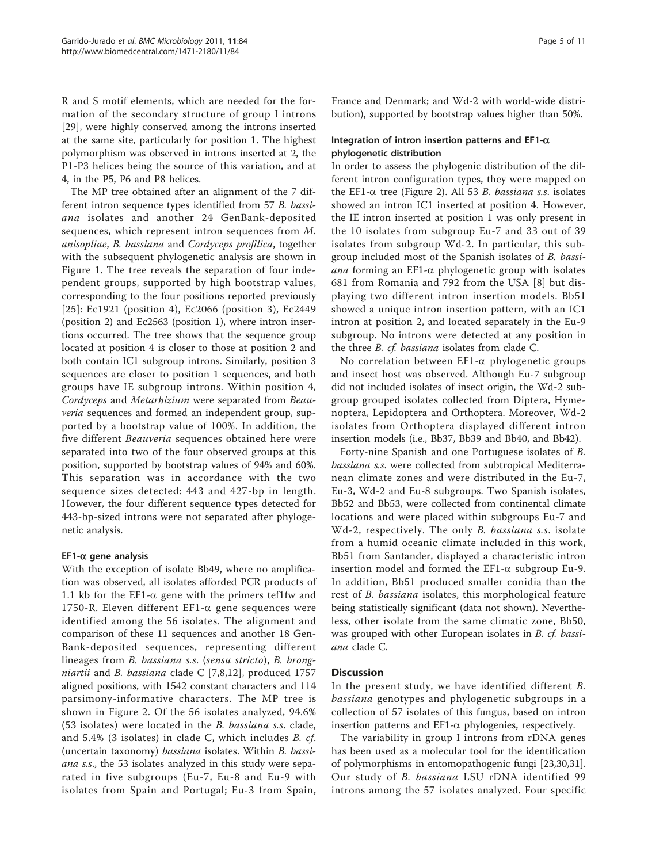R and S motif elements, which are needed for the formation of the secondary structure of group I introns [[29\]](#page-10-0), were highly conserved among the introns inserted at the same site, particularly for position 1. The highest polymorphism was observed in introns inserted at 2, the P1-P3 helices being the source of this variation, and at 4, in the P5, P6 and P8 helices.

The MP tree obtained after an alignment of the 7 different intron sequence types identified from 57 B. bassiana isolates and another 24 GenBank-deposited sequences, which represent intron sequences from M. anisopliae, B. bassiana and Cordyceps profilica, together with the subsequent phylogenetic analysis are shown in Figure [1](#page-5-0). The tree reveals the separation of four independent groups, supported by high bootstrap values, corresponding to the four positions reported previously [[25](#page-10-0)]: Ec1921 (position 4), Ec2066 (position 3), Ec2449 (position 2) and Ec2563 (position 1), where intron insertions occurred. The tree shows that the sequence group located at position 4 is closer to those at position 2 and both contain IC1 subgroup introns. Similarly, position 3 sequences are closer to position 1 sequences, and both groups have IE subgroup introns. Within position 4, Cordyceps and Metarhizium were separated from Beau*veria* sequences and formed an independent group, supported by a bootstrap value of 100%. In addition, the five different Beauveria sequences obtained here were separated into two of the four observed groups at this position, supported by bootstrap values of 94% and 60%. This separation was in accordance with the two sequence sizes detected: 443 and 427-bp in length. However, the four different sequence types detected for 443-bp-sized introns were not separated after phylogenetic analysis.

## $EFT-\alpha$  gene analysis

With the exception of isolate Bb49, where no amplification was observed, all isolates afforded PCR products of 1.1 kb for the EF1- $\alpha$  gene with the primers tef1fw and 1750-R. Eleven different EF1- $\alpha$  gene sequences were identified among the 56 isolates. The alignment and comparison of these 11 sequences and another 18 Gen-Bank-deposited sequences, representing different lineages from B. bassiana s.s. (sensu stricto), B. brongniartii and B. bassiana clade C [[7,8,](#page-9-0)[12](#page-10-0)], produced 1757 aligned positions, with 1542 constant characters and 114 parsimony-informative characters. The MP tree is shown in Figure [2.](#page-6-0) Of the 56 isolates analyzed, 94.6% (53 isolates) were located in the B. bassiana s.s. clade, and 5.4% (3 isolates) in clade C, which includes B. cf. (uncertain taxonomy) bassiana isolates. Within B. bassiana s.s., the 53 isolates analyzed in this study were separated in five subgroups (Eu-7, Eu-8 and Eu-9 with isolates from Spain and Portugal; Eu-3 from Spain,

France and Denmark; and Wd-2 with world-wide distribution), supported by bootstrap values higher than 50%.

#### Integration of intron insertion patterns and EF1- $\alpha$ phylogenetic distribution

In order to assess the phylogenic distribution of the different intron configuration types, they were mapped on the EF1- $\alpha$  tree (Figure [2\)](#page-6-0). All 53 B. bassiana s.s. isolates showed an intron IC1 inserted at position 4. However, the IE intron inserted at position 1 was only present in the 10 isolates from subgroup Eu-7 and 33 out of 39 isolates from subgroup Wd-2. In particular, this subgroup included most of the Spanish isolates of B. bassi*ana* forming an EF1- $\alpha$  phylogenetic group with isolates 681 from Romania and 792 from the USA [\[8\]](#page-9-0) but displaying two different intron insertion models. Bb51 showed a unique intron insertion pattern, with an IC1 intron at position 2, and located separately in the Eu-9 subgroup. No introns were detected at any position in the three B. cf. bassiana isolates from clade C.

No correlation between EF1- $\alpha$  phylogenetic groups and insect host was observed. Although Eu-7 subgroup did not included isolates of insect origin, the Wd-2 subgroup grouped isolates collected from Diptera, Hymenoptera, Lepidoptera and Orthoptera. Moreover, Wd-2 isolates from Orthoptera displayed different intron insertion models (i.e., Bb37, Bb39 and Bb40, and Bb42).

Forty-nine Spanish and one Portuguese isolates of B. bassiana s.s. were collected from subtropical Mediterranean climate zones and were distributed in the Eu-7, Eu-3, Wd-2 and Eu-8 subgroups. Two Spanish isolates, Bb52 and Bb53, were collected from continental climate locations and were placed within subgroups Eu-7 and Wd-2, respectively. The only B. bassiana s.s. isolate from a humid oceanic climate included in this work, Bb51 from Santander, displayed a characteristic intron insertion model and formed the  $EFL-\alpha$  subgroup Eu-9. In addition, Bb51 produced smaller conidia than the rest of B. bassiana isolates, this morphological feature being statistically significant (data not shown). Nevertheless, other isolate from the same climatic zone, Bb50, was grouped with other European isolates in B. cf. bassiana clade C.

## **Discussion**

In the present study, we have identified different B. bassiana genotypes and phylogenetic subgroups in a collection of 57 isolates of this fungus, based on intron insertion patterns and  $EFL-\alpha$  phylogenies, respectively.

The variability in group I introns from rDNA genes has been used as a molecular tool for the identification of polymorphisms in entomopathogenic fungi [[23](#page-10-0),[30](#page-10-0),[31](#page-10-0)]. Our study of B. bassiana LSU rDNA identified 99 introns among the 57 isolates analyzed. Four specific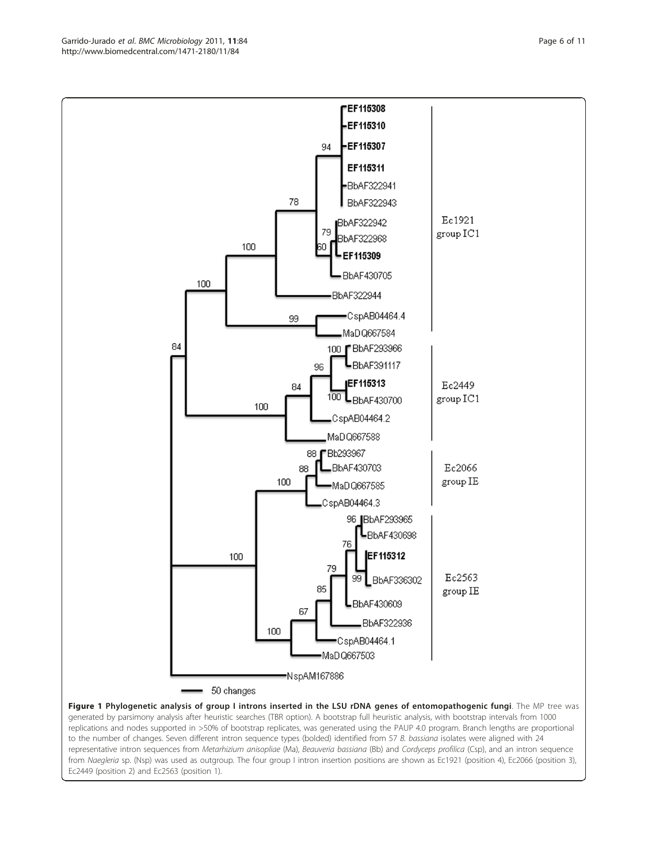<span id="page-5-0"></span>



EEF115308 EF115310

replications and nodes supported in >50% of bootstrap replicates, was generated using the PAUP 4.0 program. Branch lengths are proportional to the number of changes. Seven different intron sequence types (bolded) identified from 57 B. bassiana isolates were aligned with 24 representative intron sequences from Metarhizium anisopliae (Ma), Beauveria bassiana (Bb) and Cordyceps profilica (Csp), and an intron sequence from Naegleria sp. (Nsp) was used as outgroup. The four group I intron insertion positions are shown as Ec1921 (position 4), Ec2066 (position 3), Ec2449 (position 2) and Ec2563 (position 1).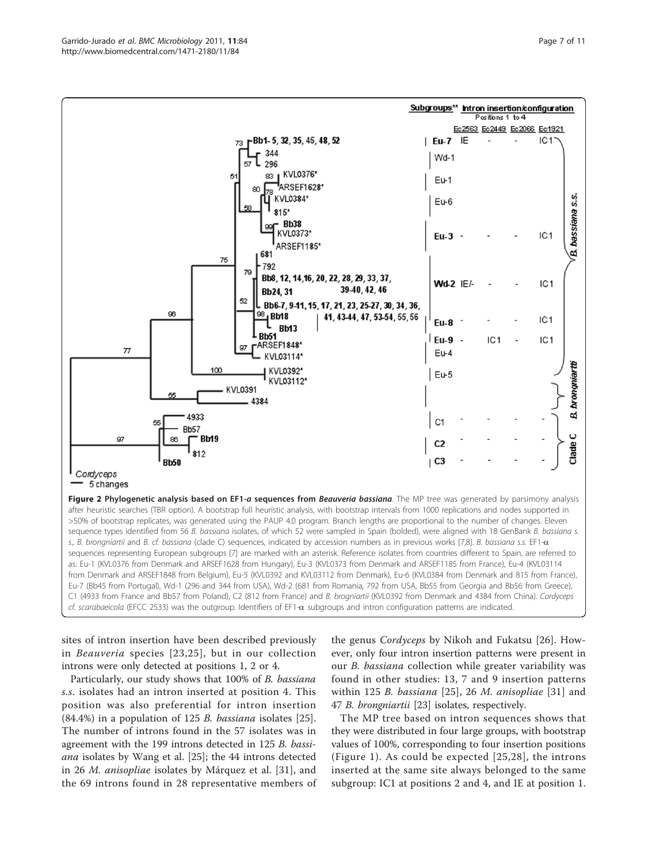<span id="page-6-0"></span>

sites of intron insertion have been described previously in Beauveria species [[23](#page-10-0),[25](#page-10-0)], but in our collection introns were only detected at positions 1, 2 or 4.

Particularly, our study shows that 100% of B. bassiana s.s. isolates had an intron inserted at position 4. This position was also preferential for intron insertion  $(84.4\%)$  in a population of 125 *B. bassiana* isolates [\[25](#page-10-0)]. The number of introns found in the 57 isolates was in agreement with the 199 introns detected in 125 B. bassiana isolates by Wang et al. [[25\]](#page-10-0); the 44 introns detected in 26 M. anisopliae isolates by Márquez et al. [\[31](#page-10-0)], and the 69 introns found in 28 representative members of the genus Cordyceps by Nikoh and Fukatsu [[26](#page-10-0)]. However, only four intron insertion patterns were present in our *B. bassiana* collection while greater variability was found in other studies: 13, 7 and 9 insertion patterns within 1[25](#page-10-0) B. bassiana  $[25]$ , 26 M. anisopliae  $[31]$  $[31]$  and 47 B. brongniartii [[23](#page-10-0)] isolates, respectively.

The MP tree based on intron sequences shows that they were distributed in four large groups, with bootstrap values of 100%, corresponding to four insertion positions (Figure [1](#page-5-0)). As could be expected [\[25](#page-10-0),[28](#page-10-0)], the introns inserted at the same site always belonged to the same subgroup: IC1 at positions 2 and 4, and IE at position 1.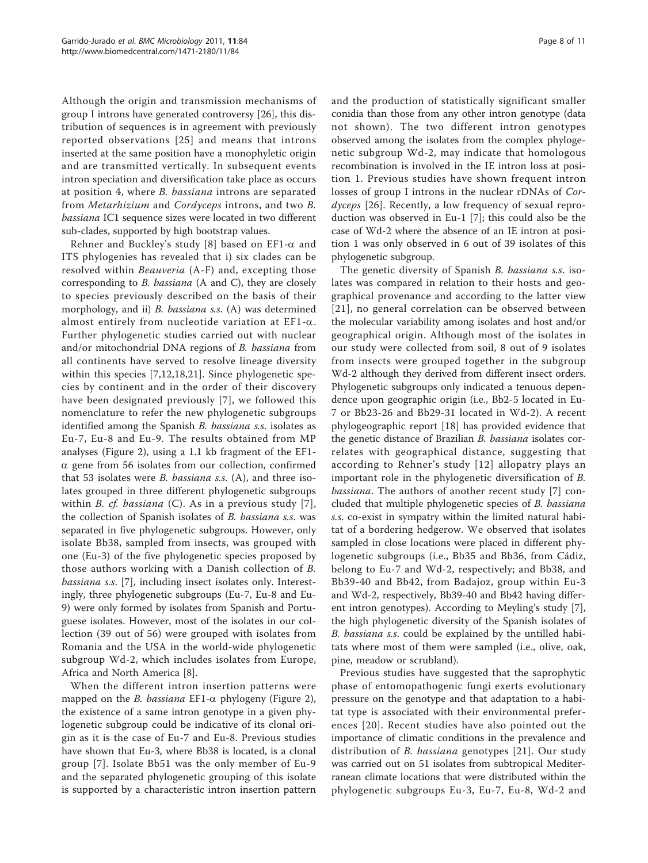Although the origin and transmission mechanisms of group I introns have generated controversy [[26\]](#page-10-0), this distribution of sequences is in agreement with previously reported observations [[25\]](#page-10-0) and means that introns inserted at the same position have a monophyletic origin and are transmitted vertically. In subsequent events intron speciation and diversification take place as occurs at position 4, where B. bassiana introns are separated from Metarhizium and Cordyceps introns, and two B. bassiana IC1 sequence sizes were located in two different sub-clades, supported by high bootstrap values.

Rehner and Buckley's study [[8](#page-9-0)] based on  $E F1-\alpha$  and ITS phylogenies has revealed that i) six clades can be resolved within Beauveria (A-F) and, excepting those corresponding to B. bassiana (A and C), they are closely to species previously described on the basis of their morphology, and ii) *B. bassiana s.s.* (A) was determined almost entirely from nucleotide variation at  $EFI-\alpha$ . Further phylogenetic studies carried out with nuclear and/or mitochondrial DNA regions of B. bassiana from all continents have served to resolve lineage diversity within this species [[7,](#page-9-0)[12,18](#page-10-0),[21\]](#page-10-0). Since phylogenetic species by continent and in the order of their discovery have been designated previously [[7\]](#page-9-0), we followed this nomenclature to refer the new phylogenetic subgroups identified among the Spanish B. bassiana s.s. isolates as Eu-7, Eu-8 and Eu-9. The results obtained from MP analyses (Figure [2](#page-6-0)), using a 1.1 kb fragment of the EF1-  $\alpha$  gene from 56 isolates from our collection, confirmed that 53 isolates were B. bassiana s.s. (A), and three isolates grouped in three different phylogenetic subgroups within *B. cf. bassiana* (C). As in a previous study  $[7]$  $[7]$ , the collection of Spanish isolates of B. bassiana s.s. was separated in five phylogenetic subgroups. However, only isolate Bb38, sampled from insects, was grouped with one (Eu-3) of the five phylogenetic species proposed by those authors working with a Danish collection of B. bassiana s.s. [[7](#page-9-0)], including insect isolates only. Interestingly, three phylogenetic subgroups (Eu-7, Eu-8 and Eu-9) were only formed by isolates from Spanish and Portuguese isolates. However, most of the isolates in our collection (39 out of 56) were grouped with isolates from Romania and the USA in the world-wide phylogenetic subgroup Wd-2, which includes isolates from Europe, Africa and North America [\[8](#page-9-0)].

When the different intron insertion patterns were mapped on the *B. bassiana* EF1- $\alpha$  phylogeny (Figure [2](#page-6-0)), the existence of a same intron genotype in a given phylogenetic subgroup could be indicative of its clonal origin as it is the case of Eu-7 and Eu-8. Previous studies have shown that Eu-3, where Bb38 is located, is a clonal group [[7](#page-9-0)]. Isolate Bb51 was the only member of Eu-9 and the separated phylogenetic grouping of this isolate is supported by a characteristic intron insertion pattern and the production of statistically significant smaller conidia than those from any other intron genotype (data not shown). The two different intron genotypes observed among the isolates from the complex phylogenetic subgroup Wd-2, may indicate that homologous recombination is involved in the IE intron loss at position 1. Previous studies have shown frequent intron losses of group I introns in the nuclear rDNAs of Cordyceps [[26\]](#page-10-0). Recently, a low frequency of sexual reproduction was observed in Eu-1 [\[7](#page-9-0)]; this could also be the case of Wd-2 where the absence of an IE intron at position 1 was only observed in 6 out of 39 isolates of this phylogenetic subgroup.

The genetic diversity of Spanish B. bassiana s.s. isolates was compared in relation to their hosts and geographical provenance and according to the latter view [[21\]](#page-10-0), no general correlation can be observed between the molecular variability among isolates and host and/or geographical origin. Although most of the isolates in our study were collected from soil, 8 out of 9 isolates from insects were grouped together in the subgroup Wd-2 although they derived from different insect orders. Phylogenetic subgroups only indicated a tenuous dependence upon geographic origin (i.e., Bb2-5 located in Eu-7 or Bb23-26 and Bb29-31 located in Wd-2). A recent phylogeographic report [[18](#page-10-0)] has provided evidence that the genetic distance of Brazilian B. bassiana isolates correlates with geographical distance, suggesting that according to Rehner's study [[12\]](#page-10-0) allopatry plays an important role in the phylogenetic diversification of B. bassiana. The authors of another recent study [[7](#page-9-0)] concluded that multiple phylogenetic species of B. bassiana s.s. co-exist in sympatry within the limited natural habitat of a bordering hedgerow. We observed that isolates sampled in close locations were placed in different phylogenetic subgroups (i.e., Bb35 and Bb36, from Cádiz, belong to Eu-7 and Wd-2, respectively; and Bb38, and Bb39-40 and Bb42, from Badajoz, group within Eu-3 and Wd-2, respectively, Bb39-40 and Bb42 having different intron genotypes). According to Meyling's study [\[7](#page-9-0)], the high phylogenetic diversity of the Spanish isolates of B. bassiana s.s. could be explained by the untilled habitats where most of them were sampled (i.e., olive, oak, pine, meadow or scrubland).

Previous studies have suggested that the saprophytic phase of entomopathogenic fungi exerts evolutionary pressure on the genotype and that adaptation to a habitat type is associated with their environmental preferences [[20\]](#page-10-0). Recent studies have also pointed out the importance of climatic conditions in the prevalence and distribution of B. bassiana genotypes [[21](#page-10-0)]. Our study was carried out on 51 isolates from subtropical Mediterranean climate locations that were distributed within the phylogenetic subgroups Eu-3, Eu-7, Eu-8, Wd-2 and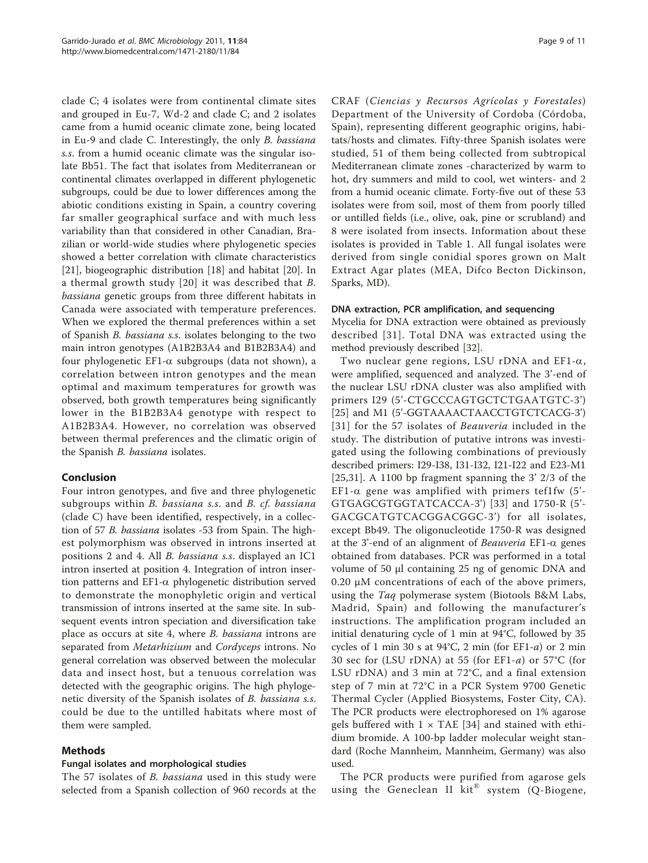clade C; 4 isolates were from continental climate sites and grouped in Eu-7, Wd-2 and clade C; and 2 isolates came from a humid oceanic climate zone, being located in Eu-9 and clade C. Interestingly, the only B. bassiana s.s. from a humid oceanic climate was the singular isolate Bb51. The fact that isolates from Mediterranean or continental climates overlapped in different phylogenetic subgroups, could be due to lower differences among the abiotic conditions existing in Spain, a country covering far smaller geographical surface and with much less variability than that considered in other Canadian, Brazilian or world-wide studies where phylogenetic species showed a better correlation with climate characteristics [[21\]](#page-10-0), biogeographic distribution [[18\]](#page-10-0) and habitat [\[20](#page-10-0)]. In a thermal growth study [[20\]](#page-10-0) it was described that B. bassiana genetic groups from three different habitats in Canada were associated with temperature preferences. When we explored the thermal preferences within a set of Spanish B. bassiana s.s. isolates belonging to the two main intron genotypes (A1B2B3A4 and B1B2B3A4) and four phylogenetic EF1- $\alpha$  subgroups (data not shown), a correlation between intron genotypes and the mean optimal and maximum temperatures for growth was observed, both growth temperatures being significantly lower in the B1B2B3A4 genotype with respect to A1B2B3A4. However, no correlation was observed between thermal preferences and the climatic origin of the Spanish B. bassiana isolates.

# Conclusion

Four intron genotypes, and five and three phylogenetic subgroups within B. bassiana s.s. and B. cf. bassiana (clade C) have been identified, respectively, in a collection of 57 B. bassiana isolates -53 from Spain. The highest polymorphism was observed in introns inserted at positions 2 and 4. All B. bassiana s.s. displayed an IC1 intron inserted at position 4. Integration of intron insertion patterns and  $EFL-\alpha$  phylogenetic distribution served to demonstrate the monophyletic origin and vertical transmission of introns inserted at the same site. In subsequent events intron speciation and diversification take place as occurs at site 4, where B. bassiana introns are separated from Metarhizium and Cordyceps introns. No general correlation was observed between the molecular data and insect host, but a tenuous correlation was detected with the geographic origins. The high phylogenetic diversity of the Spanish isolates of B. bassiana s.s. could be due to the untilled habitats where most of them were sampled.

## Methods

#### Fungal isolates and morphological studies

The 57 isolates of *B. bassiana* used in this study were selected from a Spanish collection of 960 records at the

CRAF (Ciencias y Recursos Agrícolas y Forestales) Department of the University of Cordoba (Córdoba, Spain), representing different geographic origins, habitats/hosts and climates. Fifty-three Spanish isolates were studied, 51 of them being collected from subtropical Mediterranean climate zones -characterized by warm to hot, dry summers and mild to cool, wet winters- and 2 from a humid oceanic climate. Forty-five out of these 53 isolates were from soil, most of them from poorly tilled or untilled fields (i.e., olive, oak, pine or scrubland) and 8 were isolated from insects. Information about these isolates is provided in Table [1](#page-2-0). All fungal isolates were derived from single conidial spores grown on Malt Extract Agar plates (MEA, Difco Becton Dickinson, Sparks, MD).

#### DNA extraction, PCR amplification, and sequencing

Mycelia for DNA extraction were obtained as previously described [[31\]](#page-10-0). Total DNA was extracted using the method previously described [[32](#page-10-0)].

Two nuclear gene regions, LSU rDNA and EF1- $\alpha$ , were amplified, sequenced and analyzed. The 3'-end of the nuclear LSU rDNA cluster was also amplified with primers I29 (5'-CTGCCCAGTGCTCTGAATGTC-3') [[25\]](#page-10-0) and M1 (5'-GGTAAAACTAACCTGTCTCACG-3') [[31\]](#page-10-0) for the 57 isolates of *Beauveria* included in the study. The distribution of putative introns was investigated using the following combinations of previously described primers: I29-I38, I31-I32, I21-I22 and E23-M1 [[25,31](#page-10-0)]. A 1100 bp fragment spanning the 3' 2/3 of the EF1- $\alpha$  gene was amplified with primers tef1fw (5'-GTGAGCGTGGTATCACCA-3') [[33](#page-10-0)] and 1750-R (5'- GACGCATGTCACGGACGGC-3') for all isolates, except Bb49. The oligonucleotide 1750-R was designed at the 3'-end of an alignment of Beauveria EF1- $\alpha$  genes obtained from databases. PCR was performed in a total volume of 50 μl containing 25 ng of genomic DNA and 0.20 μM concentrations of each of the above primers, using the Taq polymerase system (Biotools B&M Labs, Madrid, Spain) and following the manufacturer's instructions. The amplification program included an initial denaturing cycle of 1 min at 94°C, followed by 35 cycles of 1 min 30 s at  $94^{\circ}$ C, 2 min (for EF1-a) or 2 min 30 sec for (LSU rDNA) at 55 (for EF1- $a$ ) or 57°C (for LSU rDNA) and 3 min at 72°C, and a final extension step of 7 min at 72°C in a PCR System 9700 Genetic Thermal Cycler (Applied Biosystems, Foster City, CA). The PCR products were electrophoresed on 1% agarose gels buffered with  $1 \times$  TAE [\[34](#page-10-0)] and stained with ethidium bromide. A 100-bp ladder molecular weight standard (Roche Mannheim, Mannheim, Germany) was also used.

The PCR products were purified from agarose gels using the Geneclean II kit<sup>®</sup> system (Q-Biogene,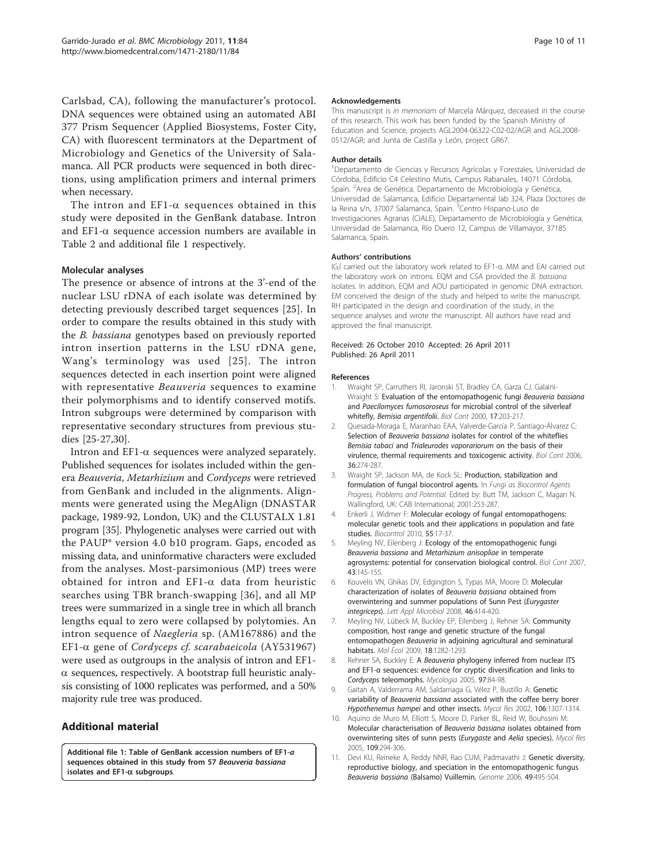<span id="page-9-0"></span>Carlsbad, CA), following the manufacturer's protocol. DNA sequences were obtained using an automated ABI 377 Prism Sequencer (Applied Biosystems, Foster City, CA) with fluorescent terminators at the Department of Microbiology and Genetics of the University of Salamanca. All PCR products were sequenced in both directions, using amplification primers and internal primers when necessary.

The intron and  $EFL-\alpha$  sequences obtained in this study were deposited in the GenBank database. Intron and EF1- $\alpha$  sequence accession numbers are available in Table [2](#page-3-0) and additional file 1 respectively.

#### Molecular analyses

The presence or absence of introns at the 3'-end of the nuclear LSU rDNA of each isolate was determined by detecting previously described target sequences [[25\]](#page-10-0). In order to compare the results obtained in this study with the B. bassiana genotypes based on previously reported intron insertion patterns in the LSU rDNA gene, Wang's terminology was used [[25](#page-10-0)]. The intron sequences detected in each insertion point were aligned with representative *Beauveria* sequences to examine their polymorphisms and to identify conserved motifs. Intron subgroups were determined by comparison with representative secondary structures from previous studies [[25-27,30\]](#page-10-0).

Intron and  $EFI-\alpha$  sequences were analyzed separately. Published sequences for isolates included within the genera Beauveria, Metarhizium and Cordyceps were retrieved from GenBank and included in the alignments. Alignments were generated using the MegAlign (DNASTAR package, 1989-92, London, UK) and the CLUSTALX 1.81 program [\[35\]](#page-10-0). Phylogenetic analyses were carried out with the PAUP\* version 4.0 b10 program. Gaps, encoded as missing data, and uninformative characters were excluded from the analyses. Most-parsimonious (MP) trees were obtained for intron and  $EFI-\alpha$  data from heuristic searches using TBR branch-swapping [\[36\]](#page-10-0), and all MP trees were summarized in a single tree in which all branch lengths equal to zero were collapsed by polytomies. An intron sequence of Naegleria sp. (AM167886) and the EF1-a gene of Cordyceps cf. scarabaeicola (AY531967) were used as outgroups in the analysis of intron and EF1-  $\alpha$  sequences, respectively. A bootstrap full heuristic analysis consisting of 1000 replicates was performed, and a 50% majority rule tree was produced.

# Additional material

[Additional file 1: T](http://www.biomedcentral.com/content/supplementary/1471-2180-11-84-S1.DOC)able of GenBank accession numbers of EF1-a sequences obtained in this study from 57 Beauveria bassiana isolates and EF1-α subgroups.

#### Acknowledgements

This manuscript is in memoriam of Marcela Márquez, deceased in the course of this research. This work has been funded by the Spanish Ministry of Education and Science, projects AGL2004-06322-C02-02/AGR and AGL2008- 0512/AGR; and Junta de Castilla y León, project GR67.

#### Author details

<sup>1</sup>Departamento de Ciencias y Recursos Agrícolas y Forestales, Universidad de Córdoba, Edificio C4 Celestino Mutis, Campus Rabanales, 14071 Córdoba, Spain. <sup>2</sup> Area de Genética. Departamento de Microbiología y Genética, Universidad de Salamanca, Edificio Departamental lab 324, Plaza Doctores de la Reina s/n, 37007 Salamanca, Spain. <sup>3</sup>Centro Hispano-Luso de Investigaciones Agrarias (CIALE), Departamento de Microbiología y Genética, Universidad de Salamanca, Río Duero 12, Campus de Villamayor, 37185 Salamanca, Spain.

#### Authors' contributions

IGJ carried out the laboratory work related to EF1-α. MM and EAI carried out the laboratory work on introns. EQM and CSA provided the B. bassiana isolates. In addition, EQM and AOU participated in genomic DNA extraction. EM conceived the design of the study and helped to write the manuscript. RH participated in the design and coordination of the study, in the sequence analyses and wrote the manuscript. All authors have read and approved the final manuscript.

#### Received: 26 October 2010 Accepted: 26 April 2011 Published: 26 April 2011

#### References

- 1. Wraight SP, Carruthers RI, Jaronski ST, Bradley CA, Garza CJ, Galaini-Wraight S: Evaluation of the entomopathogenic fungi Beauveria bassiana and Paecilomyces fumosoroseus for microbial control of the silverleaf whitefly, Bemisia argentifolii. Biol Cont 2000, 17:203-217.
- 2. Quesada-Moraga E, Maranhao EAA, Valverde-García P, Santiago-Álvarez C: Selection of Beauveria bassiana isolates for control of the whiteflies Bemisia tabaci and Trialeurodes vaporariorum on the basis of their virulence, thermal requirements and toxicogenic activity. Biol Cont 2006, 36:274-287.
- 3. Wraight SP, Jackson MA, de Kock SL: Production, stabilization and formulation of fungal biocontrol agents. In Fungi as Biocontrol Agents Progress, Problems and Potential. Edited by: Butt TM, Jackson C, Magan N. Wallingford, UK: CAB International; 2001:253-287.
- 4. Enkerli J, Widmer F: Molecular ecology of fungal entomopathogens: molecular genetic tools and their applications in population and fate studies. Biocontrol 2010, 55:17-37.
- Meyling NV, Eilenberg J: Ecology of the entomopathogenic fungi Beauveria bassiana and Metarhizium anisopliae in temperate agrosystems: potential for conservation biological control. Biol Cont 2007, 43:145-155.
- 6. Kouvelis VN, Ghikas DV, Edgington S, Typas MA, Moore D: [Molecular](http://www.ncbi.nlm.nih.gov/pubmed/18290810?dopt=Abstract) [characterization of isolates of](http://www.ncbi.nlm.nih.gov/pubmed/18290810?dopt=Abstract) Beauveria bassiana obtained from [overwintering and summer populations of Sunn Pest \(](http://www.ncbi.nlm.nih.gov/pubmed/18290810?dopt=Abstract)Eurygaster [integriceps](http://www.ncbi.nlm.nih.gov/pubmed/18290810?dopt=Abstract)). Lett Appl Microbiol 2008, 46:414-420.
- 7. Meyling NV, Lübeck M, Buckley EP, Eilenberg J, Rehner SA: [Community](http://www.ncbi.nlm.nih.gov/pubmed/19226319?dopt=Abstract) [composition, host range and genetic structure of the fungal](http://www.ncbi.nlm.nih.gov/pubmed/19226319?dopt=Abstract) entomopathogen Beauveria [in adjoining agricultural and seminatural](http://www.ncbi.nlm.nih.gov/pubmed/19226319?dopt=Abstract) [habitats.](http://www.ncbi.nlm.nih.gov/pubmed/19226319?dopt=Abstract) Mol Ecol 2009, 18:1282-1293.
- 8. Rehner SA, Buckley E: A Beauveria [phylogeny inferred from nuclear ITS](http://www.ncbi.nlm.nih.gov/pubmed/16389960?dopt=Abstract) and EF1-α [sequences: evidence for cryptic diversification and links to](http://www.ncbi.nlm.nih.gov/pubmed/16389960?dopt=Abstract) Cordyceps [teleomorphs.](http://www.ncbi.nlm.nih.gov/pubmed/16389960?dopt=Abstract) Mycologia 2005, 97:84-98.
- 9. Gaitan A, Valderrama AM, Saldarriaga G, Vélez P, Bustillo A: Genetic variability of Beauveria bassiana associated with the coffee berry borer Hypothenemus hampei and other insects. Mycol Res 2002, 106:1307-1314.
- 10. Aquino de Muro M, Elliott S, Moore D, Parker BL, Reid W, Bouhssini M: Molecular characterisation of Beauveria bassiana [isolates obtained from](http://www.ncbi.nlm.nih.gov/pubmed/15912946?dopt=Abstract) [overwintering sites of sunn pests \(](http://www.ncbi.nlm.nih.gov/pubmed/15912946?dopt=Abstract)Eurygaste and Aelia species). Mycol Res 2005, 109:294-306.
- 11. Devi KU, Reineke A, Reddy NNR, Rao CUM, Padmavathi J: [Genetic diversity,](http://www.ncbi.nlm.nih.gov/pubmed/16767174?dopt=Abstract) [reproductive biology, and speciation in the entomopathogenic fungus](http://www.ncbi.nlm.nih.gov/pubmed/16767174?dopt=Abstract) Beauveria bassiana [\(Balsamo\) Vuillemin.](http://www.ncbi.nlm.nih.gov/pubmed/16767174?dopt=Abstract) Genome 2006, 49:495-504.